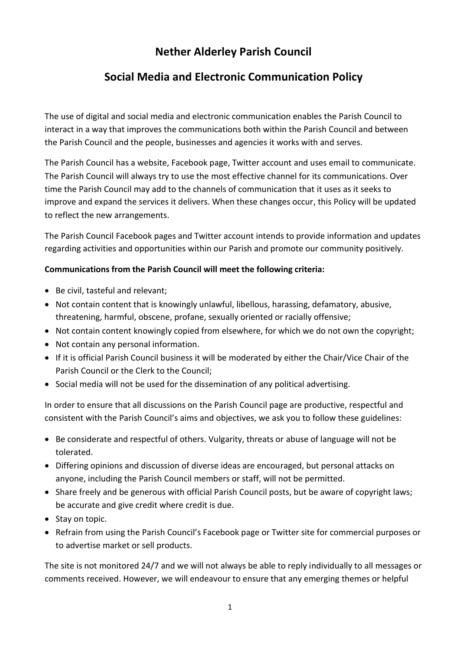# **Nether Alderley Parish Council**

# **Social Media and Electronic Communication Policy**

The use of digital and social media and electronic communication enables the Parish Council to interact in a way that improves the communications both within the Parish Council and between the Parish Council and the people, businesses and agencies it works with and serves.

The Parish Council has a website, Facebook page, Twitter account and uses email to communicate. The Parish Council will always try to use the most effective channel for its communications. Over time the Parish Council may add to the channels of communication that it uses as it seeks to improve and expand the services it delivers. When these changes occur, this Policy will be updated to reflect the new arrangements.

The Parish Council Facebook pages and Twitter account intends to provide information and updates regarding activities and opportunities within our Parish and promote our community positively.

#### **Communications from the Parish Council will meet the following criteria:**

- Be civil, tasteful and relevant;
- Not contain content that is knowingly unlawful, libellous, harassing, defamatory, abusive, threatening, harmful, obscene, profane, sexually oriented or racially offensive;
- Not contain content knowingly copied from elsewhere, for which we do not own the copyright;
- Not contain any personal information.
- If it is official Parish Council business it will be moderated by either the Chair/Vice Chair of the Parish Council or the Clerk to the Council;
- Social media will not be used for the dissemination of any political advertising.

In order to ensure that all discussions on the Parish Council page are productive, respectful and consistent with the Parish Council's aims and objectives, we ask you to follow these guidelines:

- Be considerate and respectful of others. Vulgarity, threats or abuse of language will not be tolerated.
- Differing opinions and discussion of diverse ideas are encouraged, but personal attacks on anyone, including the Parish Council members or staff, will not be permitted.
- Share freely and be generous with official Parish Council posts, but be aware of copyright laws; be accurate and give credit where credit is due.
- Stay on topic.
- Refrain from using the Parish Council's Facebook page or Twitter site for commercial purposes or to advertise market or sell products.

The site is not monitored 24/7 and we will not always be able to reply individually to all messages or comments received. However, we will endeavour to ensure that any emerging themes or helpful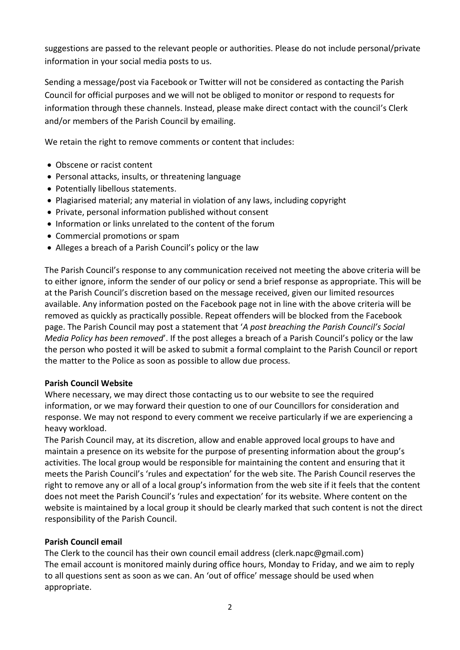suggestions are passed to the relevant people or authorities. Please do not include personal/private information in your social media posts to us.

Sending a message/post via Facebook or Twitter will not be considered as contacting the Parish Council for official purposes and we will not be obliged to monitor or respond to requests for information through these channels. Instead, please make direct contact with the council's Clerk and/or members of the Parish Council by emailing.

We retain the right to remove comments or content that includes:

- Obscene or racist content
- Personal attacks, insults, or threatening language
- Potentially libellous statements.
- Plagiarised material; any material in violation of any laws, including copyright
- Private, personal information published without consent
- Information or links unrelated to the content of the forum
- Commercial promotions or spam
- Alleges a breach of a Parish Council's policy or the law

The Parish Council's response to any communication received not meeting the above criteria will be to either ignore, inform the sender of our policy or send a brief response as appropriate. This will be at the Parish Council's discretion based on the message received, given our limited resources available. Any information posted on the Facebook page not in line with the above criteria will be removed as quickly as practically possible. Repeat offenders will be blocked from the Facebook page. The Parish Council may post a statement that '*A post breaching the Parish Council's Social Media Policy has been removed*'. If the post alleges a breach of a Parish Council's policy or the law the person who posted it will be asked to submit a formal complaint to the Parish Council or report the matter to the Police as soon as possible to allow due process.

#### **Parish Council Website**

Where necessary, we may direct those contacting us to our website to see the required information, or we may forward their question to one of our Councillors for consideration and response. We may not respond to every comment we receive particularly if we are experiencing a heavy workload.

The Parish Council may, at its discretion, allow and enable approved local groups to have and maintain a presence on its website for the purpose of presenting information about the group's activities. The local group would be responsible for maintaining the content and ensuring that it meets the Parish Council's 'rules and expectation' for the web site. The Parish Council reserves the right to remove any or all of a local group's information from the web site if it feels that the content does not meet the Parish Council's 'rules and expectation' for its website. Where content on the website is maintained by a local group it should be clearly marked that such content is not the direct responsibility of the Parish Council.

#### **Parish Council email**

The Clerk to the council has their own council email address (clerk.napc@gmail.com) The email account is monitored mainly during office hours, Monday to Friday, and we aim to reply to all questions sent as soon as we can. An 'out of office' message should be used when appropriate.